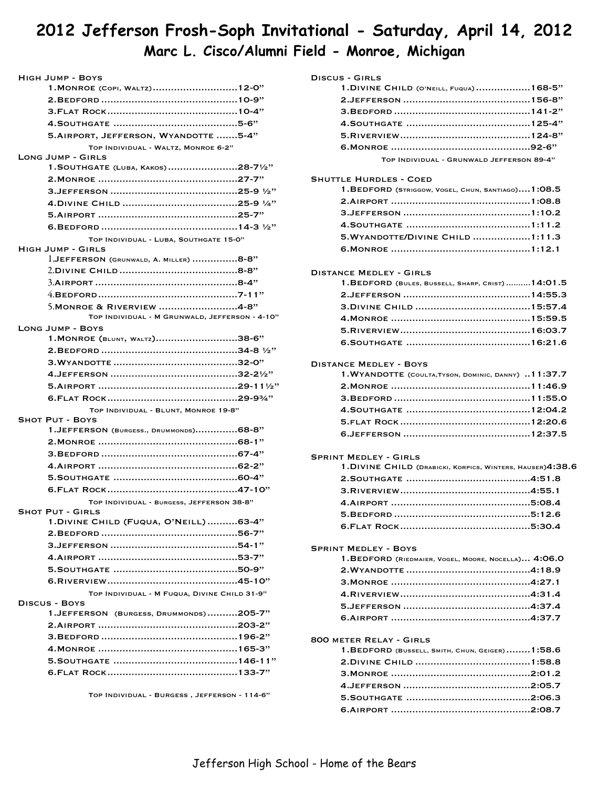# **2012 Jefferson Frosh-Soph Invitational - Saturday, April 14, 2012 Marc L. Cisco/Alumni Field - Monroe, Michigan**

| <b>HIGH JUMP - BOYS</b>  |                                                |  |
|--------------------------|------------------------------------------------|--|
|                          | 1. MONROE (COPI, WALTZ)12-0"                   |  |
|                          |                                                |  |
|                          |                                                |  |
|                          |                                                |  |
|                          | 5.AIRPORT, JEFFERSON, WYANDOTTE 5-4"           |  |
|                          | TOP INDIVIDUAL - WALTZ, MONROE 6-2"            |  |
| LONG JUMP - GIRLS        |                                                |  |
|                          | 1. SOUTHGATE (LUBA, KAKOS)28-71/2"             |  |
|                          |                                                |  |
|                          |                                                |  |
|                          |                                                |  |
|                          |                                                |  |
|                          |                                                |  |
|                          | TOP INDIVIDUAL - LUBA, SOUTHGATE 15-0"         |  |
| <b>HIGH JUMP - GIRLS</b> |                                                |  |
|                          | 1.JEFFERSON (GRUNWALD, A. MILLER) 8-8"         |  |
|                          |                                                |  |
|                          |                                                |  |
|                          |                                                |  |
|                          | 5. MONROE & RIVERVIEW 4-8"                     |  |
|                          | TOP INDIVIDUAL - M GRUNWALD, JEFFERSON - 4-10" |  |
| <b>LONG JUMP - BOYS</b>  |                                                |  |
|                          | 1. MONROE (BLUNT, WALTZ)38-6"                  |  |
|                          |                                                |  |
|                          |                                                |  |
|                          |                                                |  |
|                          |                                                |  |
|                          |                                                |  |
|                          | TOP INDIVIDUAL - BLUNT, MONROE 19-8"           |  |
| <b>SHOT PUT - BOYS</b>   |                                                |  |
|                          | 1.JEFFERSON (BURGESS., DRUMMONDS)68-8"         |  |
|                          |                                                |  |
|                          |                                                |  |
|                          |                                                |  |
|                          |                                                |  |
|                          |                                                |  |
|                          | TOP INDIVIDUAL - BURGESS, JEFFERSON 38-8"      |  |
| <b>SHOT PUT - GIRLS</b>  |                                                |  |
|                          | 1. DIVINE CHILD (FUQUA, O'NEILL) 63-4"         |  |
|                          |                                                |  |
|                          |                                                |  |
|                          |                                                |  |
|                          |                                                |  |
|                          |                                                |  |
|                          | TOP INDIVIDUAL - M FUQUA, DIVINE CHILD 31-9"   |  |
| <b>DISCUS - BOYS</b>     |                                                |  |
|                          | 1.JEFFERSON (BURGESS, DRUMMONDS)205-7"         |  |
|                          |                                                |  |
|                          |                                                |  |
|                          |                                                |  |
|                          |                                                |  |
|                          |                                                |  |
|                          |                                                |  |

Top Individual - Burgess , Jefferson - 114-6"

| DISCUS - GIRLS                                                                              |
|---------------------------------------------------------------------------------------------|
| 1. DIVINE CHILD (O'NEILL, FUQUA)  168-5"                                                    |
|                                                                                             |
|                                                                                             |
|                                                                                             |
|                                                                                             |
|                                                                                             |
| TOP INDIVIDUAL - GRUNWALD JEFFERSON 89-4"                                                   |
| <b>SHUTTLE HURDLES - COED</b>                                                               |
| $1.BEDFORD$ (Striggow, Vogel, Chun, Santiago) $1:08.5$                                      |
|                                                                                             |
|                                                                                             |
|                                                                                             |
| 5. WYANDOTTE/DIVINE CHILD 1:11.3                                                            |
|                                                                                             |
|                                                                                             |
| DISTANCE MEDLEY - GIRLS                                                                     |
| 1. BEDFORD (BULES, BUSSELL, SHARP, CRIST)  14:01.5                                          |
|                                                                                             |
|                                                                                             |
|                                                                                             |
|                                                                                             |
|                                                                                             |
| <b>DISTANCE MEDLEY - BOYS</b>                                                               |
| 1. WYANDOTTE (COULTA, TYSON, DOMINIC, DANNY) 11:37.7                                        |
|                                                                                             |
|                                                                                             |
|                                                                                             |
|                                                                                             |
|                                                                                             |
|                                                                                             |
| <b>SPRINT MEDLEY - GIRLS</b><br>1. DIVINE CHILD (DRABICKI, KORPICS, WINTERS, HAUSER)4:38.6  |
|                                                                                             |
|                                                                                             |
|                                                                                             |
|                                                                                             |
|                                                                                             |
|                                                                                             |
| <b>SPRINT MEDLEY - BOYS</b>                                                                 |
| 1. BEDFORD (RIEDMAIER, VOGEL, MOORE, NOCELLA) 4:06.0                                        |
|                                                                                             |
|                                                                                             |
|                                                                                             |
|                                                                                             |
|                                                                                             |
|                                                                                             |
| 800 METER RELAY - GIRLS<br>$1.$ BEDFORD (BUSSELL, SMITH, CHUN, GEIGER) $\dots \dots 1:58.6$ |
|                                                                                             |
|                                                                                             |
|                                                                                             |

4.Jefferson 2:05.7 .......................................... 5.Southgate 2:06.3 ......................................... 6.Airport 2:08.7 ..............................................